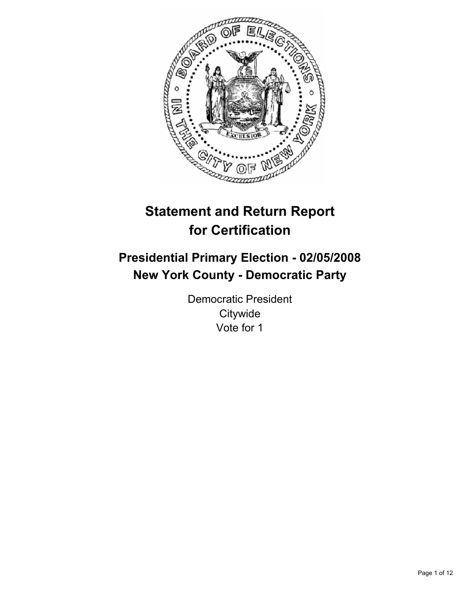

# **Statement and Return Report for Certification**

## **Presidential Primary Election - 02/05/2008 New York County - Democratic Party**

Democratic President **Citywide** Vote for 1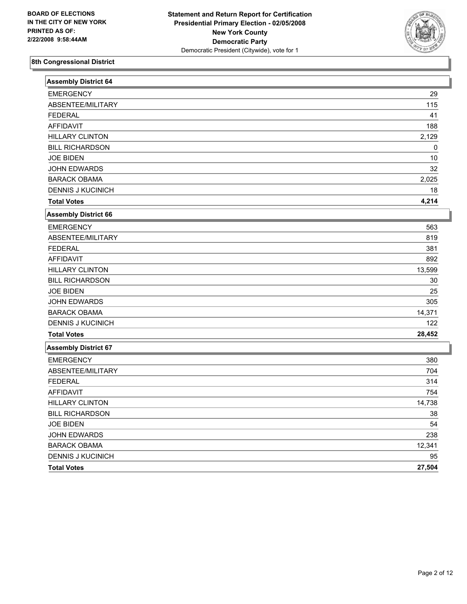

| <b>Assembly District 64</b> |        |
|-----------------------------|--------|
| <b>EMERGENCY</b>            | 29     |
| ABSENTEE/MILITARY           | 115    |
| <b>FEDERAL</b>              | 41     |
| <b>AFFIDAVIT</b>            | 188    |
| <b>HILLARY CLINTON</b>      | 2,129  |
| <b>BILL RICHARDSON</b>      | 0      |
| <b>JOE BIDEN</b>            | 10     |
| <b>JOHN EDWARDS</b>         | 32     |
| <b>BARACK OBAMA</b>         | 2,025  |
| <b>DENNIS J KUCINICH</b>    | 18     |
| <b>Total Votes</b>          | 4,214  |
| <b>Assembly District 66</b> |        |
| <b>EMERGENCY</b>            | 563    |
| ABSENTEE/MILITARY           | 819    |
| <b>FEDERAL</b>              | 381    |
| <b>AFFIDAVIT</b>            | 892    |
| <b>HILLARY CLINTON</b>      | 13,599 |
| <b>BILL RICHARDSON</b>      | 30     |
| <b>JOE BIDEN</b>            | 25     |
| JOHN EDWARDS                | 305    |
| <b>BARACK OBAMA</b>         | 14,371 |
| <b>DENNIS J KUCINICH</b>    | 122    |
| <b>Total Votes</b>          | 28,452 |
| <b>Assembly District 67</b> |        |
| <b>EMERGENCY</b>            | 380    |
| ABSENTEE/MILITARY           | 704    |
| <b>FEDERAL</b>              | 314    |
| <b>AFFIDAVIT</b>            | 754    |
| <b>HILLARY CLINTON</b>      | 14,738 |
| <b>BILL RICHARDSON</b>      | 38     |
| <b>JOE BIDEN</b>            | 54     |
| <b>JOHN EDWARDS</b>         | 238    |
| <b>BARACK OBAMA</b>         | 12,341 |
| <b>DENNIS J KUCINICH</b>    | 95     |
| <b>Total Votes</b>          | 27,504 |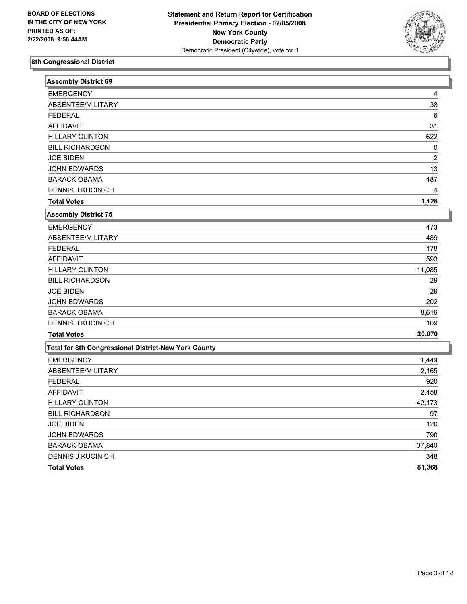

| <b>Assembly District 69</b>                          |                |
|------------------------------------------------------|----------------|
| <b>EMERGENCY</b>                                     | 4              |
| ABSENTEE/MILITARY                                    | 38             |
| <b>FEDERAL</b>                                       | 6              |
| <b>AFFIDAVIT</b>                                     | 31             |
| <b>HILLARY CLINTON</b>                               | 622            |
| <b>BILL RICHARDSON</b>                               | 0              |
| <b>JOE BIDEN</b>                                     | $\overline{2}$ |
| JOHN EDWARDS                                         | 13             |
| <b>BARACK OBAMA</b>                                  | 487            |
| <b>DENNIS J KUCINICH</b>                             |                |
| <b>Total Votes</b>                                   | 1,128          |
| <b>Assembly District 75</b>                          |                |
| <b>EMERGENCY</b>                                     | 473            |
| ABSENTEE/MILITARY                                    | 489            |
| <b>FEDERAL</b>                                       | 178            |
| <b>AFFIDAVIT</b>                                     | 593            |
| <b>HILLARY CLINTON</b>                               | 11,085         |
| <b>BILL RICHARDSON</b>                               | 29             |
| <b>JOE BIDEN</b>                                     | 29             |
| <b>JOHN EDWARDS</b>                                  | 202            |
| <b>BARACK OBAMA</b>                                  | 8,616          |
| <b>DENNIS J KUCINICH</b>                             | 109            |
| <b>Total Votes</b>                                   | 20,070         |
| Total for 8th Congressional District-New York County |                |
| <b>EMERGENCY</b>                                     | 1,449          |
| ABSENTEE/MILITARY                                    | 2,165          |
| <b>FEDERAL</b>                                       | 920            |
| <b>AFFIDAVIT</b>                                     | 2,458          |
| <b>HILLARY CLINTON</b>                               | 42,173         |
| <b>BILL RICHARDSON</b>                               | 97             |
| <b>JOE BIDEN</b>                                     | 120            |
| JOHN EDWARDS                                         | 790            |
| <b>BARACK OBAMA</b>                                  | 37,840         |
| <b>DENNIS J KUCINICH</b>                             | 348            |
| <b>Total Votes</b>                                   | 81,368         |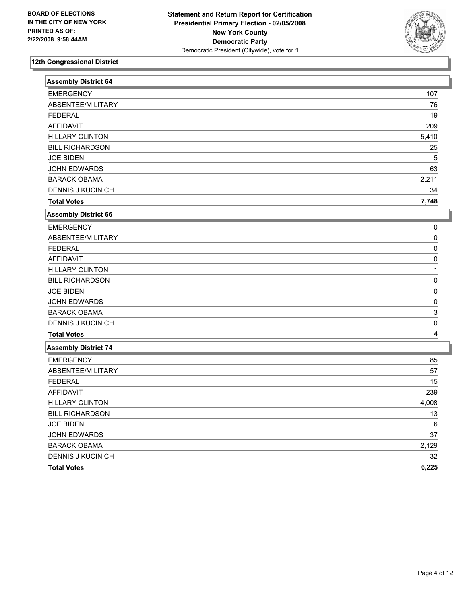

| <b>Assembly District 64</b> |          |
|-----------------------------|----------|
| <b>EMERGENCY</b>            | 107      |
| ABSENTEE/MILITARY           | 76       |
| <b>FEDERAL</b>              | 19       |
| <b>AFFIDAVIT</b>            | 209      |
| <b>HILLARY CLINTON</b>      | 5,410    |
| <b>BILL RICHARDSON</b>      | 25       |
| <b>JOE BIDEN</b>            | 5        |
| <b>JOHN EDWARDS</b>         | 63       |
| <b>BARACK OBAMA</b>         | 2,211    |
| <b>DENNIS J KUCINICH</b>    | 34       |
| <b>Total Votes</b>          | 7,748    |
| <b>Assembly District 66</b> |          |
| <b>EMERGENCY</b>            | 0        |
| ABSENTEE/MILITARY           | 0        |
| <b>FEDERAL</b>              | $\Omega$ |
| <b>AFFIDAVIT</b>            | 0        |
| <b>HILLARY CLINTON</b>      | 1        |
| <b>BILL RICHARDSON</b>      | $\Omega$ |
| <b>JOE BIDEN</b>            | 0        |
| JOHN EDWARDS                | 0        |
| <b>BARACK OBAMA</b>         | 3        |
| <b>DENNIS J KUCINICH</b>    | 0        |
| <b>Total Votes</b>          | 4        |
| <b>Assembly District 74</b> |          |
| <b>EMERGENCY</b>            | 85       |
| ABSENTEE/MILITARY           | 57       |
| <b>FEDERAL</b>              | 15       |
| AFFIDAVIT                   | 239      |
| <b>HILLARY CLINTON</b>      | 4,008    |
| <b>BILL RICHARDSON</b>      | 13       |
| <b>JOE BIDEN</b>            | 6        |
| <b>JOHN EDWARDS</b>         | 37       |
| <b>BARACK OBAMA</b>         | 2,129    |
| <b>DENNIS J KUCINICH</b>    | 32       |
| <b>Total Votes</b>          | 6,225    |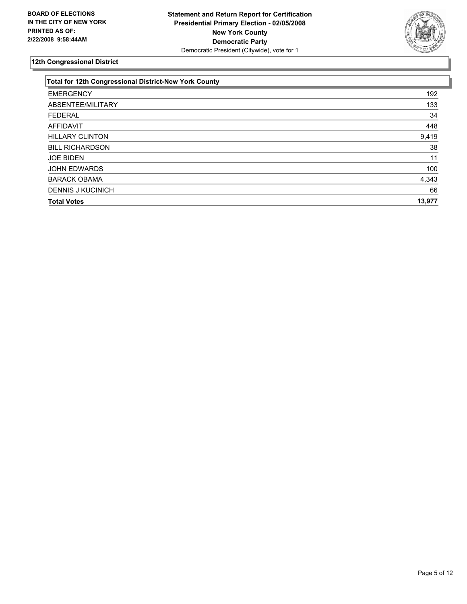

| Total for 12th Congressional District-New York County |        |
|-------------------------------------------------------|--------|
| <b>EMERGENCY</b>                                      | 192    |
| ABSENTEE/MILITARY                                     | 133    |
| <b>FEDERAL</b>                                        | 34     |
| AFFIDAVIT                                             | 448    |
| <b>HILLARY CLINTON</b>                                | 9,419  |
| <b>BILL RICHARDSON</b>                                | 38     |
| <b>JOE BIDEN</b>                                      | 11     |
| <b>JOHN EDWARDS</b>                                   | 100    |
| <b>BARACK OBAMA</b>                                   | 4,343  |
| <b>DENNIS J KUCINICH</b>                              | 66     |
| <b>Total Votes</b>                                    | 13,977 |
|                                                       |        |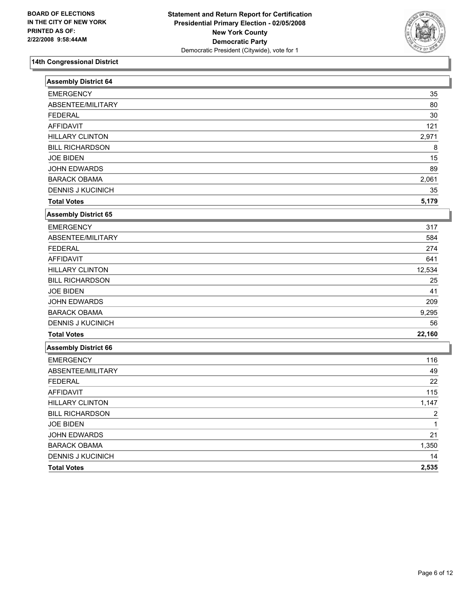

| <b>Assembly District 64</b> |        |
|-----------------------------|--------|
| <b>EMERGENCY</b>            | 35     |
| ABSENTEE/MILITARY           | 80     |
| <b>FEDERAL</b>              | 30     |
| <b>AFFIDAVIT</b>            | 121    |
| <b>HILLARY CLINTON</b>      | 2,971  |
| <b>BILL RICHARDSON</b>      | 8      |
| <b>JOE BIDEN</b>            | 15     |
| JOHN EDWARDS                | 89     |
| <b>BARACK OBAMA</b>         | 2,061  |
| <b>DENNIS J KUCINICH</b>    | 35     |
| <b>Total Votes</b>          | 5,179  |
| <b>Assembly District 65</b> |        |
| <b>EMERGENCY</b>            | 317    |
| ABSENTEE/MILITARY           | 584    |
| <b>FEDERAL</b>              | 274    |
| <b>AFFIDAVIT</b>            | 641    |
| <b>HILLARY CLINTON</b>      | 12,534 |
| <b>BILL RICHARDSON</b>      | 25     |
| <b>JOE BIDEN</b>            | 41     |
| <b>JOHN EDWARDS</b>         | 209    |
| <b>BARACK OBAMA</b>         | 9,295  |
| <b>DENNIS J KUCINICH</b>    | 56     |
| <b>Total Votes</b>          | 22,160 |
| <b>Assembly District 66</b> |        |
| <b>EMERGENCY</b>            | 116    |
| ABSENTEE/MILITARY           | 49     |
| <b>FEDERAL</b>              | 22     |
| <b>AFFIDAVIT</b>            | 115    |
| <b>HILLARY CLINTON</b>      | 1,147  |
| <b>BILL RICHARDSON</b>      | 2      |
| <b>JOE BIDEN</b>            | 1      |
| <b>JOHN EDWARDS</b>         | 21     |
| <b>BARACK OBAMA</b>         | 1,350  |
| <b>DENNIS J KUCINICH</b>    | 14     |
| <b>Total Votes</b>          | 2,535  |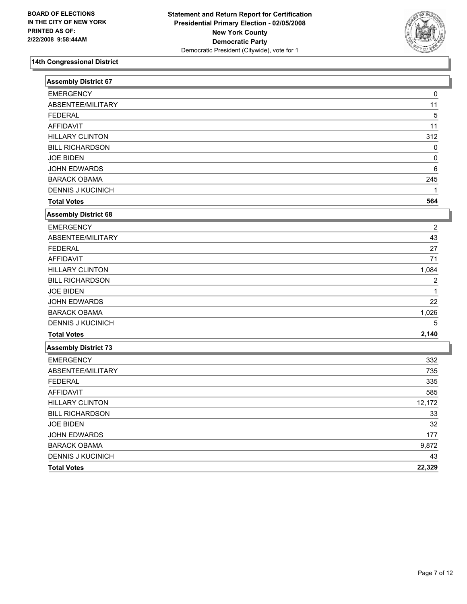

| <b>Assembly District 67</b> |                |
|-----------------------------|----------------|
| <b>EMERGENCY</b>            | 0              |
| ABSENTEE/MILITARY           | 11             |
| <b>FEDERAL</b>              | 5              |
| <b>AFFIDAVIT</b>            | 11             |
| <b>HILLARY CLINTON</b>      | 312            |
| <b>BILL RICHARDSON</b>      | 0              |
| <b>JOE BIDEN</b>            | $\Omega$       |
| <b>JOHN EDWARDS</b>         | 6              |
| <b>BARACK OBAMA</b>         | 245            |
| <b>DENNIS J KUCINICH</b>    |                |
| <b>Total Votes</b>          | 564            |
| Assembly District 68        |                |
| <b>EMERGENCY</b>            | 2              |
| ABSENTEE/MILITARY           | 43             |
| <b>FEDERAL</b>              | 27             |
| <b>AFFIDAVIT</b>            | 71             |
| <b>HILLARY CLINTON</b>      | 1,084          |
| <b>BILL RICHARDSON</b>      | $\overline{2}$ |
| <b>JOE BIDEN</b>            |                |
| <b>JOHN EDWARDS</b>         | 22             |
| <b>BARACK OBAMA</b>         | 1,026          |
| <b>DENNIS J KUCINICH</b>    | 5              |
| <b>Total Votes</b>          | 2,140          |
| <b>Assembly District 73</b> |                |
| <b>EMERGENCY</b>            | 332            |
| ABSENTEE/MILITARY           | 735            |
| <b>FEDERAL</b>              | 335            |
| <b>AFFIDAVIT</b>            | 585            |
| <b>HILLARY CLINTON</b>      | 12,172         |
| <b>BILL RICHARDSON</b>      | 33             |
| <b>JOE BIDEN</b>            | 32             |
| JOHN EDWARDS                | 177            |
| <b>BARACK OBAMA</b>         | 9,872          |
| <b>DENNIS J KUCINICH</b>    | 43             |
| <b>Total Votes</b>          | 22,329         |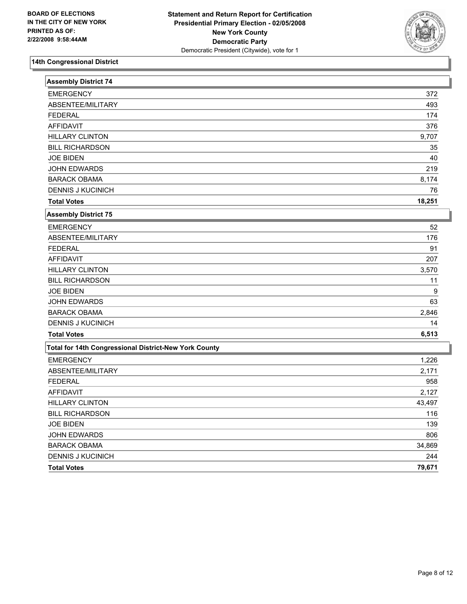

| <b>Assembly District 74</b>                           |        |
|-------------------------------------------------------|--------|
| <b>EMERGENCY</b>                                      | 372    |
| ABSENTEE/MILITARY                                     | 493    |
| <b>FEDERAL</b>                                        | 174    |
| <b>AFFIDAVIT</b>                                      | 376    |
| <b>HILLARY CLINTON</b>                                | 9,707  |
| <b>BILL RICHARDSON</b>                                | 35     |
| <b>JOE BIDEN</b>                                      | 40     |
| <b>JOHN EDWARDS</b>                                   | 219    |
| <b>BARACK OBAMA</b>                                   | 8,174  |
| <b>DENNIS J KUCINICH</b>                              | 76     |
| <b>Total Votes</b>                                    | 18,251 |
| <b>Assembly District 75</b>                           |        |
| <b>EMERGENCY</b>                                      | 52     |
| ABSENTEE/MILITARY                                     | 176    |
| <b>FEDERAL</b>                                        | 91     |
| <b>AFFIDAVIT</b>                                      | 207    |
| <b>HILLARY CLINTON</b>                                | 3,570  |
| <b>BILL RICHARDSON</b>                                | 11     |
| <b>JOE BIDEN</b>                                      | 9      |
| JOHN EDWARDS                                          | 63     |
| <b>BARACK OBAMA</b>                                   | 2,846  |
| <b>DENNIS J KUCINICH</b>                              | 14     |
| <b>Total Votes</b>                                    | 6,513  |
| Total for 14th Congressional District-New York County |        |
| <b>EMERGENCY</b>                                      | 1,226  |
| ABSENTEE/MILITARY                                     | 2,171  |
| <b>FEDERAL</b>                                        | 958    |
| <b>AFFIDAVIT</b>                                      | 2,127  |
| <b>HILLARY CLINTON</b>                                | 43,497 |
| <b>BILL RICHARDSON</b>                                | 116    |
| <b>JOE BIDEN</b>                                      | 139    |
| JOHN EDWARDS                                          | 806    |
| <b>BARACK OBAMA</b>                                   | 34,869 |
| <b>DENNIS J KUCINICH</b>                              | 244    |
| <b>Total Votes</b>                                    | 79,671 |
|                                                       |        |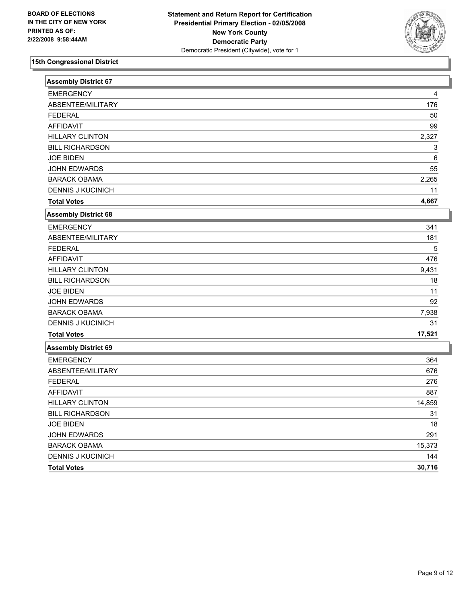

| <b>Assembly District 67</b> |        |
|-----------------------------|--------|
| <b>EMERGENCY</b>            | 4      |
| ABSENTEE/MILITARY           | 176    |
| <b>FEDERAL</b>              | 50     |
| <b>AFFIDAVIT</b>            | 99     |
| <b>HILLARY CLINTON</b>      | 2,327  |
| <b>BILL RICHARDSON</b>      | 3      |
| <b>JOE BIDEN</b>            | 6      |
| JOHN EDWARDS                | 55     |
| <b>BARACK OBAMA</b>         | 2,265  |
| <b>DENNIS J KUCINICH</b>    | 11     |
| <b>Total Votes</b>          | 4,667  |
| <b>Assembly District 68</b> |        |
| <b>EMERGENCY</b>            | 341    |
| ABSENTEE/MILITARY           | 181    |
| <b>FEDERAL</b>              | 5      |
| <b>AFFIDAVIT</b>            | 476    |
| <b>HILLARY CLINTON</b>      | 9,431  |
| <b>BILL RICHARDSON</b>      | 18     |
| <b>JOE BIDEN</b>            | 11     |
| JOHN EDWARDS                | 92     |
| <b>BARACK OBAMA</b>         | 7,938  |
| <b>DENNIS J KUCINICH</b>    | 31     |
| <b>Total Votes</b>          | 17,521 |
| Assembly District 69        |        |
| <b>EMERGENCY</b>            | 364    |
| ABSENTEE/MILITARY           | 676    |
| <b>FEDERAL</b>              | 276    |
| <b>AFFIDAVIT</b>            | 887    |
| <b>HILLARY CLINTON</b>      | 14,859 |
| <b>BILL RICHARDSON</b>      | 31     |
| <b>JOE BIDEN</b>            | 18     |
| <b>JOHN EDWARDS</b>         | 291    |
| <b>BARACK OBAMA</b>         | 15,373 |
| <b>DENNIS J KUCINICH</b>    | 144    |
| <b>Total Votes</b>          | 30,716 |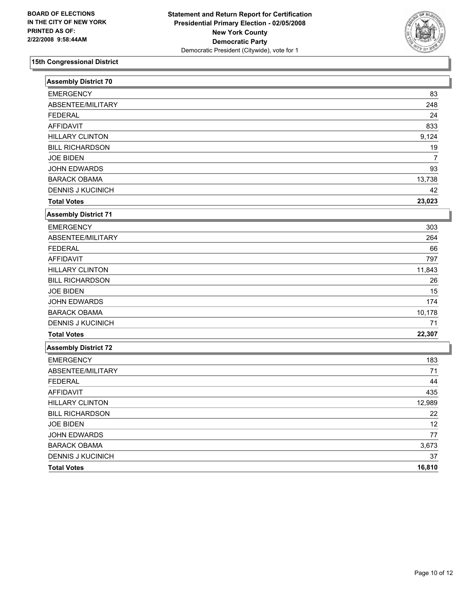

| <b>Assembly District 70</b> |                |
|-----------------------------|----------------|
| <b>EMERGENCY</b>            | 83             |
| ABSENTEE/MILITARY           | 248            |
| <b>FEDERAL</b>              | 24             |
| <b>AFFIDAVIT</b>            | 833            |
| <b>HILLARY CLINTON</b>      | 9,124          |
| <b>BILL RICHARDSON</b>      | 19             |
| <b>JOE BIDEN</b>            | $\overline{7}$ |
| <b>JOHN EDWARDS</b>         | 93             |
| <b>BARACK OBAMA</b>         | 13,738         |
| <b>DENNIS J KUCINICH</b>    | 42             |
| <b>Total Votes</b>          | 23,023         |
| <b>Assembly District 71</b> |                |
| <b>EMERGENCY</b>            | 303            |
| ABSENTEE/MILITARY           | 264            |
| <b>FEDERAL</b>              | 66             |
| <b>AFFIDAVIT</b>            | 797            |
| <b>HILLARY CLINTON</b>      | 11,843         |
| <b>BILL RICHARDSON</b>      | 26             |
| <b>JOE BIDEN</b>            | 15             |
| <b>JOHN EDWARDS</b>         | 174            |
| <b>BARACK OBAMA</b>         | 10,178         |
| <b>DENNIS J KUCINICH</b>    | 71             |
| <b>Total Votes</b>          | 22,307         |
| <b>Assembly District 72</b> |                |
| <b>EMERGENCY</b>            | 183            |
| ABSENTEE/MILITARY           | 71             |
| <b>FEDERAL</b>              | 44             |
| <b>AFFIDAVIT</b>            | 435            |
| <b>HILLARY CLINTON</b>      | 12,989         |
| <b>BILL RICHARDSON</b>      | 22             |
| <b>JOE BIDEN</b>            | 12             |
| <b>JOHN EDWARDS</b>         | 77             |
| <b>BARACK OBAMA</b>         | 3,673          |
| <b>DENNIS J KUCINICH</b>    | 37             |
| <b>Total Votes</b>          | 16,810         |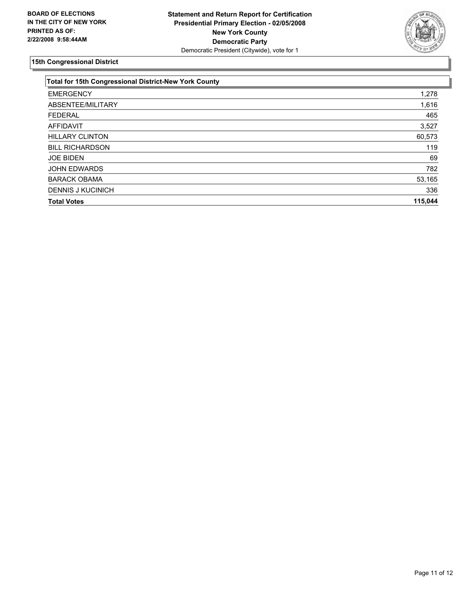

| <b>Total for 15th Congressional District-New York County</b> |         |
|--------------------------------------------------------------|---------|
| <b>EMERGENCY</b>                                             | 1,278   |
| ABSENTEE/MILITARY                                            | 1,616   |
| <b>FEDERAL</b>                                               | 465     |
| AFFIDAVIT                                                    | 3,527   |
| <b>HILLARY CLINTON</b>                                       | 60,573  |
| <b>BILL RICHARDSON</b>                                       | 119     |
| <b>JOE BIDEN</b>                                             | 69      |
| <b>JOHN EDWARDS</b>                                          | 782     |
| <b>BARACK OBAMA</b>                                          | 53,165  |
| <b>DENNIS J KUCINICH</b>                                     | 336     |
| <b>Total Votes</b>                                           | 115,044 |
|                                                              |         |